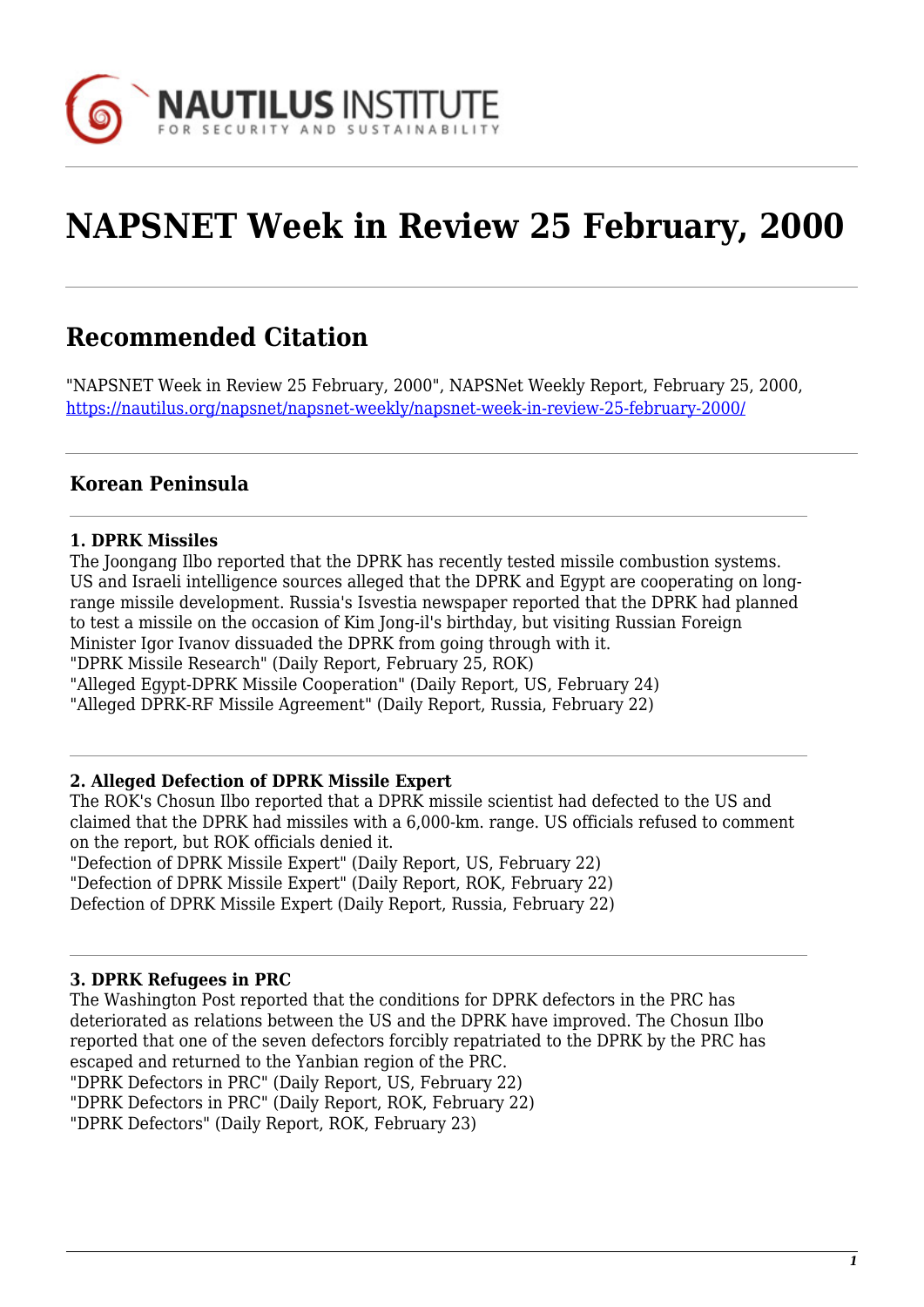

# **NAPSNET Week in Review 25 February, 2000**

# **Recommended Citation**

"NAPSNET Week in Review 25 February, 2000", NAPSNet Weekly Report, February 25, 2000, <https://nautilus.org/napsnet/napsnet-weekly/napsnet-week-in-review-25-february-2000/>

# **Korean Peninsula**

#### **1. DPRK Missiles**

The Joongang Ilbo reported that the DPRK has recently tested missile combustion systems. US and Israeli intelligence sources alleged that the DPRK and Egypt are cooperating on longrange missile development. Russia's Isvestia newspaper reported that the DPRK had planned to test a missile on the occasion of Kim Jong-il's birthday, but visiting Russian Foreign Minister Igor Ivanov dissuaded the DPRK from going through with it. "DPRK Missile Research" (Daily Report, February 25, ROK) "Alleged Egypt-DPRK Missile Cooperation" (Daily Report, US, February 24) "Alleged DPRK-RF Missile Agreement" (Daily Report, Russia, February 22)

#### **2. Alleged Defection of DPRK Missile Expert**

The ROK's Chosun Ilbo reported that a DPRK missile scientist had defected to the US and claimed that the DPRK had missiles with a 6,000-km. range. US officials refused to comment on the report, but ROK officials denied it.

"Defection of DPRK Missile Expert" (Daily Report, US, February 22) "Defection of DPRK Missile Expert" (Daily Report, ROK, February 22) Defection of DPRK Missile Expert (Daily Report, Russia, February 22)

#### **3. DPRK Refugees in PRC**

The Washington Post reported that the conditions for DPRK defectors in the PRC has deteriorated as relations between the US and the DPRK have improved. The Chosun Ilbo reported that one of the seven defectors forcibly repatriated to the DPRK by the PRC has escaped and returned to the Yanbian region of the PRC. "DPRK Defectors in PRC" (Daily Report, US, February 22) "DPRK Defectors in PRC" (Daily Report, ROK, February 22) "DPRK Defectors" (Daily Report, ROK, February 23)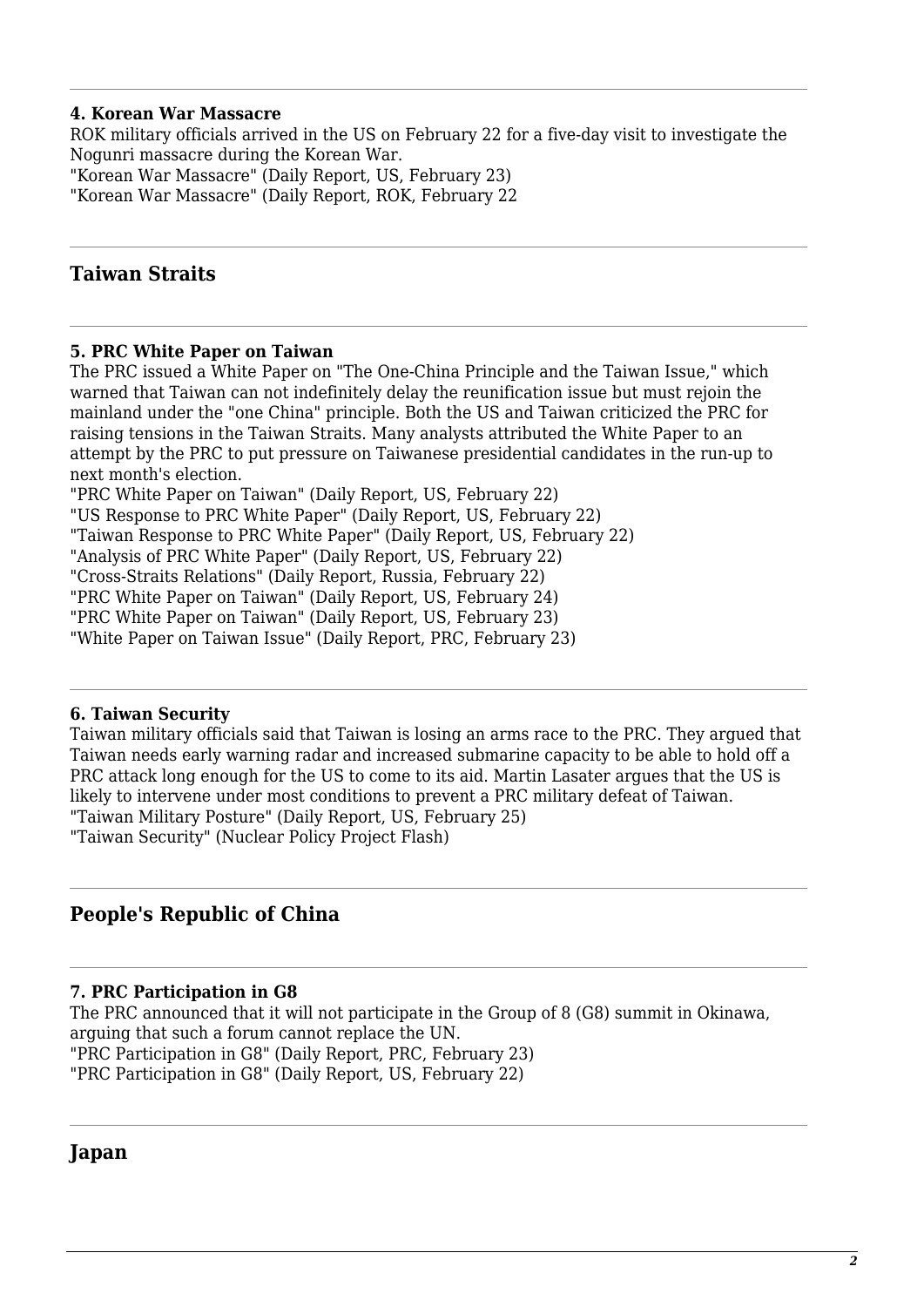#### **4. Korean War Massacre**

ROK military officials arrived in the US on February 22 for a five-day visit to investigate the Nogunri massacre during the Korean War. "Korean War Massacre" (Daily Report, US, February 23) "Korean War Massacre" (Daily Report, ROK, February 22

# **Taiwan Straits**

#### **5. PRC White Paper on Taiwan**

The PRC issued a White Paper on "The One-China Principle and the Taiwan Issue," which warned that Taiwan can not indefinitely delay the reunification issue but must rejoin the mainland under the "one China" principle. Both the US and Taiwan criticized the PRC for raising tensions in the Taiwan Straits. Many analysts attributed the White Paper to an attempt by the PRC to put pressure on Taiwanese presidential candidates in the run-up to next month's election.

"PRC White Paper on Taiwan" (Daily Report, US, February 22)

"US Response to PRC White Paper" (Daily Report, US, February 22)

"Taiwan Response to PRC White Paper" (Daily Report, US, February 22)

"Analysis of PRC White Paper" (Daily Report, US, February 22)

"Cross-Straits Relations" (Daily Report, Russia, February 22)

"PRC White Paper on Taiwan" (Daily Report, US, February 24)

"PRC White Paper on Taiwan" (Daily Report, US, February 23)

"White Paper on Taiwan Issue" (Daily Report, PRC, February 23)

#### **6. Taiwan Security**

Taiwan military officials said that Taiwan is losing an arms race to the PRC. They argued that Taiwan needs early warning radar and increased submarine capacity to be able to hold off a PRC attack long enough for the US to come to its aid. Martin Lasater argues that the US is likely to intervene under most conditions to prevent a PRC military defeat of Taiwan. "Taiwan Military Posture" (Daily Report, US, February 25) "Taiwan Security" (Nuclear Policy Project Flash)

## **People's Republic of China**

#### **7. PRC Participation in G8**

The PRC announced that it will not participate in the Group of 8 (G8) summit in Okinawa, arguing that such a forum cannot replace the UN. "PRC Participation in G8" (Daily Report, PRC, February 23) "PRC Participation in G8" (Daily Report, US, February 22)

#### **Japan**